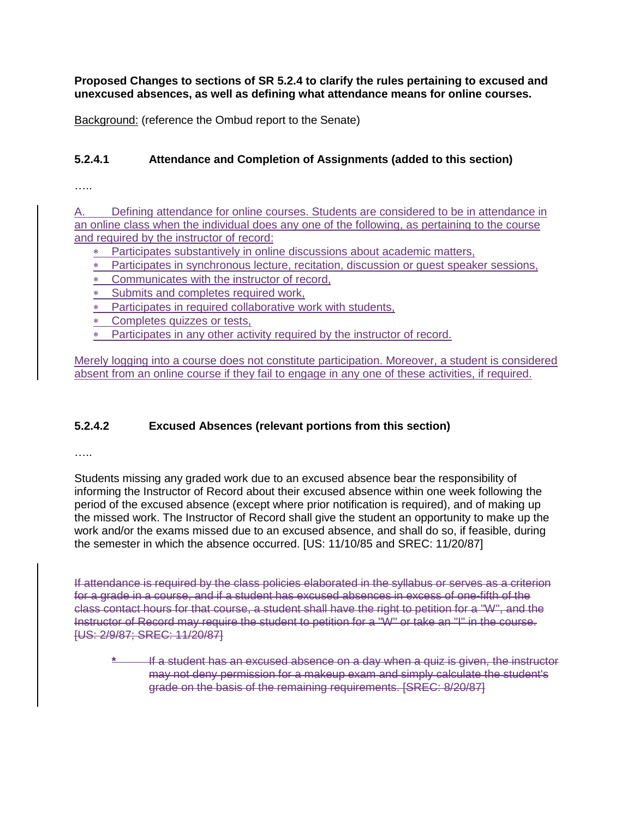## **Proposed Changes to sections of SR 5.2.4 to clarify the rules pertaining to excused and unexcused absences, as well as defining what attendance means for online courses.**

Background: (reference the Ombud report to the Senate)

## **5.2.4.1 Attendance and Completion of Assignments (added to this section)**

…..

A. Defining attendance for online courses. Students are considered to be in attendance in an online class when the individual does any one of the following, as pertaining to the course and required by the instructor of record:

- Participates substantively in online discussions about academic matters,
- Participates in synchronous lecture, recitation, discussion or guest speaker sessions,
- Communicates with the instructor of record,
- Submits and completes required work,
- Participates in required collaborative work with students,
- Completes quizzes or tests,
- Participates in any other activity required by the instructor of record.

Merely logging into a course does not constitute participation. Moreover, a student is considered absent from an online course if they fail to engage in any one of these activities, if required.

## **5.2.4.2 Excused Absences (relevant portions from this section)**

………

Students missing any graded work due to an excused absence bear the responsibility of informing the Instructor of Record about their excused absence within one week following the period of the excused absence (except where prior notification is required), and of making up the missed work. The Instructor of Record shall give the student an opportunity to make up the work and/or the exams missed due to an excused absence, and shall do so, if feasible, during the semester in which the absence occurred. [US: 11/10/85 and SREC: 11/20/87]

If attendance is required by the class policies elaborated in the syllabus or serves as a criterion for a grade in a course, and if a student has excused absences in excess of one-fifth of the class contact hours for that course, a student shall have the right to petition for a "W", and the Instructor of Record may require the student to petition for a "W" or take an "I" in the course. [US: 2/9/87; SREC: 11/20/87]

**\*** If a student has an excused absence on a day when a quiz is given, the instructor may not deny permission for a makeup exam and simply calculate the student's grade on the basis of the remaining requirements. [SREC: 8/20/87]